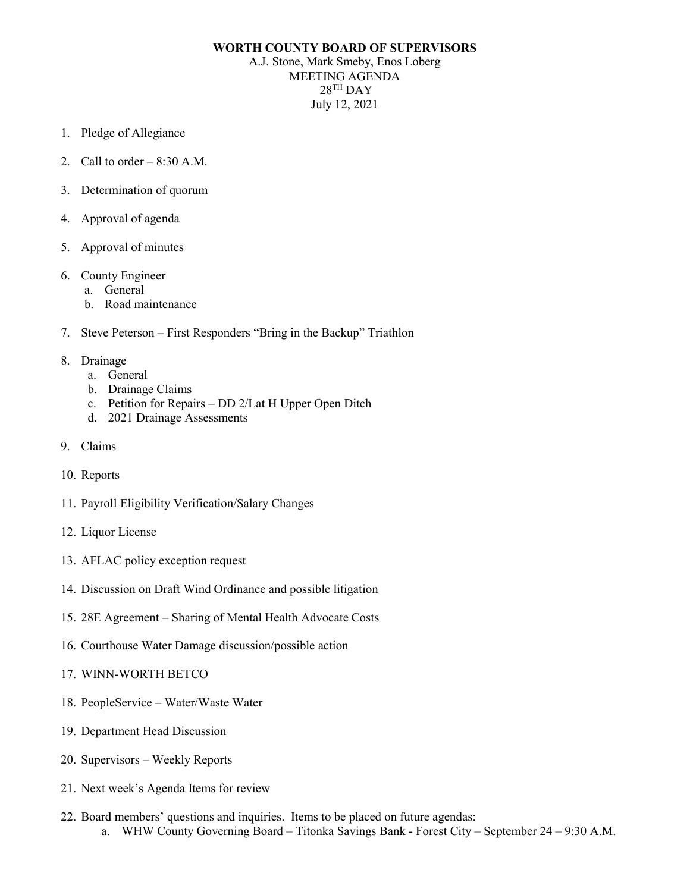## **WORTH COUNTY BOARD OF SUPERVISORS**

A.J. Stone, Mark Smeby, Enos Loberg MEETING AGENDA  $28$ <sup>TH</sup> DAY July 12, 2021

- 1. Pledge of Allegiance
- 2. Call to order  $-8:30$  A.M.
- 3. Determination of quorum
- 4. Approval of agenda
- 5. Approval of minutes
- 6. County Engineer
	- a. General
	- b. Road maintenance
- 7. Steve Peterson First Responders "Bring in the Backup" Triathlon
- 8. Drainage
	- a. General
	- b. Drainage Claims
	- c. Petition for Repairs DD 2/Lat H Upper Open Ditch
	- d. 2021 Drainage Assessments
- 9. Claims
- 10. Reports
- 11. Payroll Eligibility Verification/Salary Changes
- 12. Liquor License
- 13. AFLAC policy exception request
- 14. Discussion on Draft Wind Ordinance and possible litigation
- 15. 28E Agreement Sharing of Mental Health Advocate Costs
- 16. Courthouse Water Damage discussion/possible action
- 17. WINN-WORTH BETCO
- 18. PeopleService Water/Waste Water
- 19. Department Head Discussion
- 20. Supervisors Weekly Reports
- 21. Next week's Agenda Items for review
- 22. Board members' questions and inquiries. Items to be placed on future agendas: a. WHW County Governing Board – Titonka Savings Bank - Forest City – September 24 – 9:30 A.M.